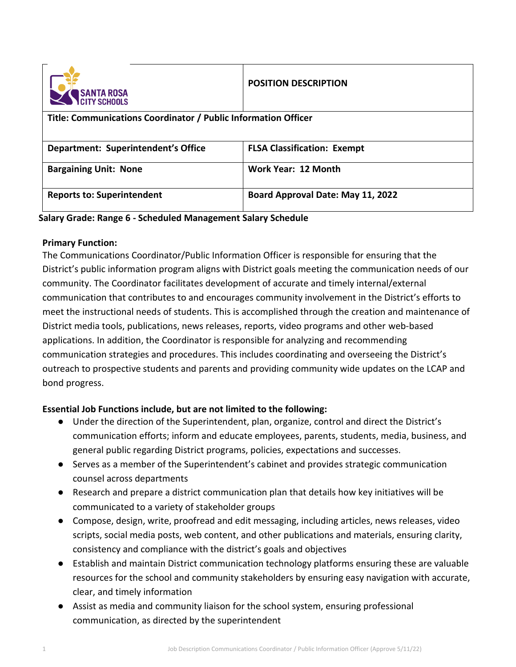

## **POSITION DESCRIPTION**

## **Title: Communications Coordinator / Public Information Officer**

| Department: Superintendent's Office | <b>FLSA Classification: Exempt</b> |
|-------------------------------------|------------------------------------|
| <b>Bargaining Unit: None</b>        | Work Year: 12 Month                |
| <b>Reports to: Superintendent</b>   | Board Approval Date: May 11, 2022  |

### **Salary Grade: Range 6 - Scheduled Management Salary Schedule**

#### **Primary Function:**

The Communications Coordinator/Public Information Officer is responsible for ensuring that the District's public information program aligns with District goals meeting the communication needs of our community. The Coordinator facilitates development of accurate and timely internal/external communication that contributes to and encourages community involvement in the District's efforts to meet the instructional needs of students. This is accomplished through the creation and maintenance of District media tools, publications, news releases, reports, video programs and other web-based applications. In addition, the Coordinator is responsible for analyzing and recommending communication strategies and procedures. This includes coordinating and overseeing the District's outreach to prospective students and parents and providing community wide updates on the LCAP and bond progress.

# **Essential Job Functions include, but are not limited to the following:**

- Under the direction of the Superintendent, plan, organize, control and direct the District's communication efforts; inform and educate employees, parents, students, media, business, and general public regarding District programs, policies, expectations and successes.
- Serves as a member of the Superintendent's cabinet and provides strategic communication counsel across departments
- Research and prepare a district communication plan that details how key initiatives will be communicated to a variety of stakeholder groups
- Compose, design, write, proofread and edit messaging, including articles, news releases, video scripts, social media posts, web content, and other publications and materials, ensuring clarity, consistency and compliance with the district's goals and objectives
- Establish and maintain District communication technology platforms ensuring these are valuable resources for the school and community stakeholders by ensuring easy navigation with accurate, clear, and timely information
- Assist as media and community liaison for the school system, ensuring professional communication, as directed by the superintendent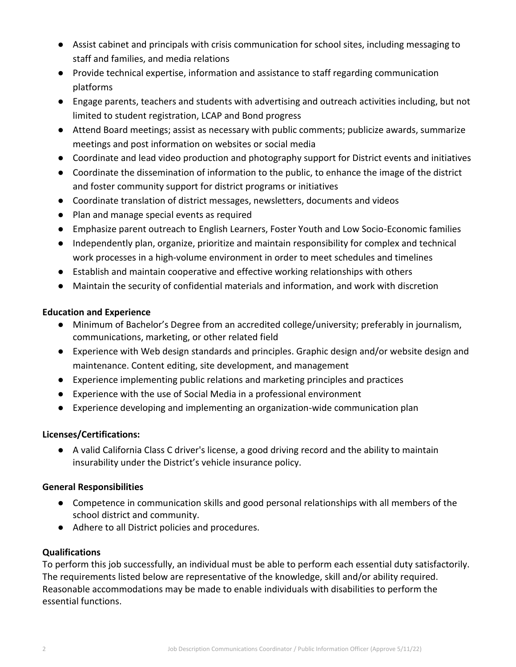- Assist cabinet and principals with crisis communication for school sites, including messaging to staff and families, and media relations
- Provide technical expertise, information and assistance to staff regarding communication platforms
- Engage parents, teachers and students with advertising and outreach activities including, but not limited to student registration, LCAP and Bond progress
- Attend Board meetings; assist as necessary with public comments; publicize awards, summarize meetings and post information on websites or social media
- Coordinate and lead video production and photography support for District events and initiatives
- Coordinate the dissemination of information to the public, to enhance the image of the district and foster community support for district programs or initiatives
- Coordinate translation of district messages, newsletters, documents and videos
- Plan and manage special events as required
- Emphasize parent outreach to English Learners, Foster Youth and Low Socio-Economic families
- Independently plan, organize, prioritize and maintain responsibility for complex and technical work processes in a high-volume environment in order to meet schedules and timelines
- Establish and maintain cooperative and effective working relationships with others
- Maintain the security of confidential materials and information, and work with discretion

### **Education and Experience**

- Minimum of Bachelor's Degree from an accredited college/university; preferably in journalism, communications, marketing, or other related field
- Experience with Web design standards and principles. Graphic design and/or website design and maintenance. Content editing, site development, and management
- Experience implementing public relations and marketing principles and practices
- Experience with the use of Social Media in a professional environment
- Experience developing and implementing an organization-wide communication plan

### **Licenses/Certifications:**

● A valid California Class C driver's license, a good driving record and the ability to maintain insurability under the District's vehicle insurance policy.

### **General Responsibilities**

- Competence in communication skills and good personal relationships with all members of the school district and community.
- Adhere to all District policies and procedures.

### **Qualifications**

To perform this job successfully, an individual must be able to perform each essential duty satisfactorily. The requirements listed below are representative of the knowledge, skill and/or ability required. Reasonable accommodations may be made to enable individuals with disabilities to perform the essential functions.